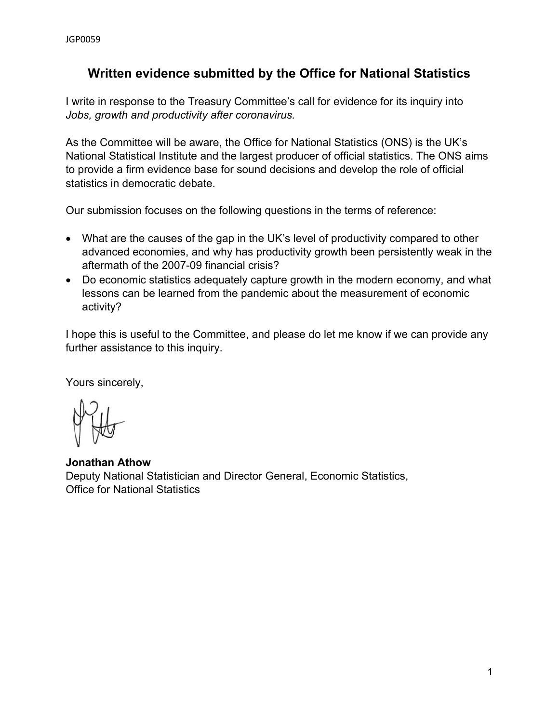# **Written evidence submitted by the Office for National Statistics**

I write in response to the Treasury Committee's call for evidence for its inquiry into *Jobs, growth and productivity after coronavirus.*

As the Committee will be aware, the Office for National Statistics (ONS) is the UK's National Statistical Institute and the largest producer of official statistics. The ONS aims to provide a firm evidence base for sound decisions and develop the role of official statistics in democratic debate.

Our submission focuses on the following questions in the terms of reference:

- What are the causes of the gap in the UK's level of productivity compared to other advanced economies, and why has productivity growth been persistently weak in the aftermath of the 2007-09 financial crisis?
- Do economic statistics adequately capture growth in the modern economy, and what lessons can be learned from the pandemic about the measurement of economic activity?

I hope this is useful to the Committee, and please do let me know if we can provide any further assistance to this inquiry.

Yours sincerely,

**Jonathan Athow** Deputy National Statistician and Director General, Economic Statistics, Office for National Statistics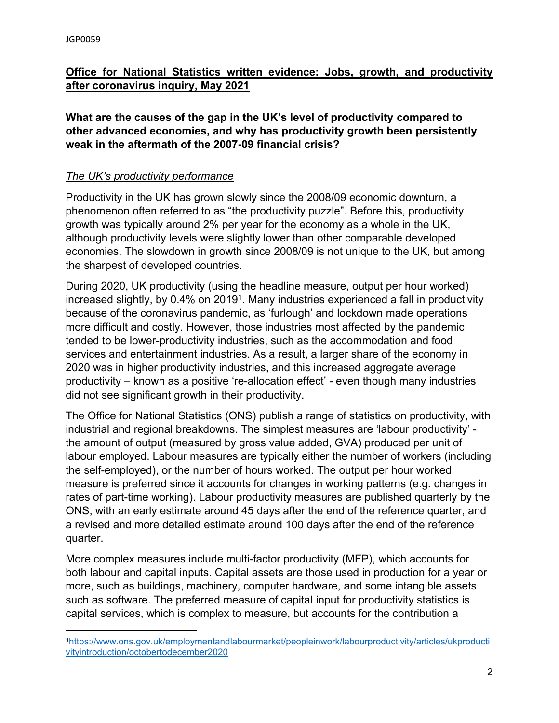## **Office for National Statistics written evidence: Jobs, growth, and productivity after coronavirus inquiry, May 2021**

**What are the causes of the gap in the UK's level of productivity compared to other advanced economies, and why has productivity growth been persistently weak in the aftermath of the 2007-09 financial crisis?**

### *The UK's productivity performance*

Productivity in the UK has grown slowly since the 2008/09 economic downturn, a phenomenon often referred to as "the productivity puzzle". Before this, productivity growth was typically around 2% per year for the economy as a whole in the UK, although productivity levels were slightly lower than other comparable developed economies. The slowdown in growth since 2008/09 is not unique to the UK, but among the sharpest of developed countries.

During 2020, UK productivity (using the headline measure, output per hour worked) increased slightly, by 0.4% on 2019<sup>1</sup>. Many industries experienced a fall in productivity because of the coronavirus pandemic, as 'furlough' and lockdown made operations more difficult and costly. However, those industries most affected by the pandemic tended to be lower-productivity industries, such as the accommodation and food services and entertainment industries. As a result, a larger share of the economy in 2020 was in higher productivity industries, and this increased aggregate average productivity – known as a positive 're-allocation effect' - even though many industries did not see significant growth in their productivity.

The Office for National Statistics (ONS) publish a range of statistics on productivity, with industrial and regional breakdowns. The simplest measures are 'labour productivity' the amount of output (measured by gross value added, GVA) produced per unit of labour employed. Labour measures are typically either the number of workers (including the self-employed), or the number of hours worked. The output per hour worked measure is preferred since it accounts for changes in working patterns (e.g. changes in rates of part-time working). Labour productivity measures are published quarterly by the ONS, with an early estimate around 45 days after the end of the reference quarter, and a revised and more detailed estimate around 100 days after the end of the reference quarter.

More complex measures include multi-factor productivity (MFP), which accounts for both labour and capital inputs. Capital assets are those used in production for a year or more, such as buildings, machinery, computer hardware, and some intangible assets such as software. The preferred measure of capital input for productivity statistics is capital services, which is complex to measure, but accounts for the contribution a

<sup>1</sup>[https://www.ons.gov.uk/employmentandlabourmarket/peopleinwork/labourproductivity/articles/ukproducti](https://www.ons.gov.uk/employmentandlabourmarket/peopleinwork/labourproductivity/articles/ukproductivityintroduction/octobertodecember2020) [vityintroduction/octobertodecember2020](https://www.ons.gov.uk/employmentandlabourmarket/peopleinwork/labourproductivity/articles/ukproductivityintroduction/octobertodecember2020)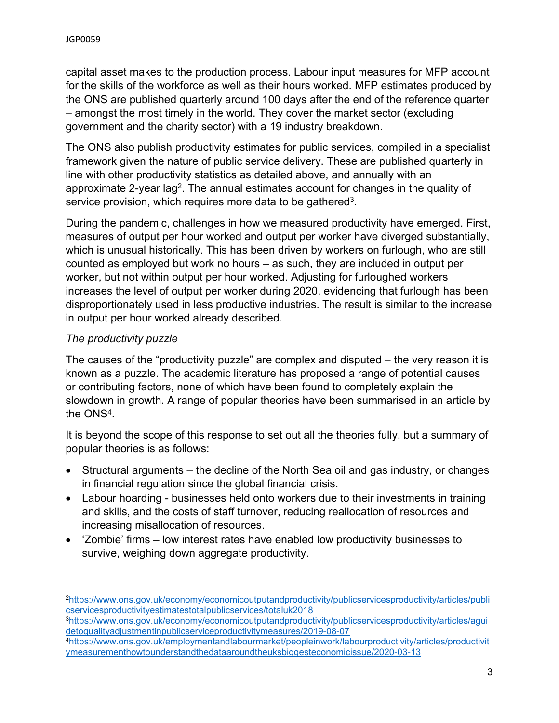capital asset makes to the production process. Labour input measures for MFP account for the skills of the workforce as well as their hours worked. MFP estimates produced by the ONS are published quarterly around 100 days after the end of the reference quarter – amongst the most timely in the world. They cover the market sector (excluding government and the charity sector) with a 19 industry breakdown.

The ONS also publish productivity estimates for public services, compiled in a specialist framework given the nature of public service delivery. These are published quarterly in line with other productivity statistics as detailed above, and annually with an approximate 2-year lag<sup>2</sup>. The annual estimates account for changes in the quality of service provision, which requires more data to be gathered<sup>3</sup>.

During the pandemic, challenges in how we measured productivity have emerged. First, measures of output per hour worked and output per worker have diverged substantially, which is unusual historically. This has been driven by workers on furlough, who are still counted as employed but work no hours – as such, they are included in output per worker, but not within output per hour worked. Adjusting for furloughed workers increases the level of output per worker during 2020, evidencing that furlough has been disproportionately used in less productive industries. The result is similar to the increase in output per hour worked already described.

### *The productivity puzzle*

The causes of the "productivity puzzle" are complex and disputed – the very reason it is known as a puzzle. The academic literature has proposed a range of potential causes or contributing factors, none of which have been found to completely explain the slowdown in growth. A range of popular theories have been summarised in an article by the ONS<sup>4</sup> .

It is beyond the scope of this response to set out all the theories fully, but a summary of popular theories is as follows:

- Structural arguments the decline of the North Sea oil and gas industry, or changes in financial regulation since the global financial crisis.
- Labour hoarding businesses held onto workers due to their investments in training and skills, and the costs of staff turnover, reducing reallocation of resources and increasing misallocation of resources.
- 'Zombie' firms low interest rates have enabled low productivity businesses to survive, weighing down aggregate productivity.

<sup>3</sup>[https://www.ons.gov.uk/economy/economicoutputandproductivity/publicservicesproductivity/articles/agui](https://www.ons.gov.uk/economy/economicoutputandproductivity/publicservicesproductivity/articles/aguidetoqualityadjustmentinpublicserviceproductivitymeasures/2019-08-07) [detoqualityadjustmentinpublicserviceproductivitymeasures/2019-08-07](https://www.ons.gov.uk/economy/economicoutputandproductivity/publicservicesproductivity/articles/aguidetoqualityadjustmentinpublicserviceproductivitymeasures/2019-08-07)

<sup>2</sup>[https://www.ons.gov.uk/economy/economicoutputandproductivity/publicservicesproductivity/articles/publi](https://www.ons.gov.uk/economy/economicoutputandproductivity/publicservicesproductivity/articles/publicservicesproductivityestimatestotalpublicservices/totaluk2018) [cservicesproductivityestimatestotalpublicservices/totaluk2018](https://www.ons.gov.uk/economy/economicoutputandproductivity/publicservicesproductivity/articles/publicservicesproductivityestimatestotalpublicservices/totaluk2018)

<sup>4</sup>[https://www.ons.gov.uk/employmentandlabourmarket/peopleinwork/labourproductivity/articles/productivit](https://www.ons.gov.uk/employmentandlabourmarket/peopleinwork/labourproductivity/articles/productivitymeasurementhowtounderstandthedataaroundtheuksbiggesteconomicissue/2020-03-13) [ymeasurementhowtounderstandthedataaroundtheuksbiggesteconomicissue/2020-03-13](https://www.ons.gov.uk/employmentandlabourmarket/peopleinwork/labourproductivity/articles/productivitymeasurementhowtounderstandthedataaroundtheuksbiggesteconomicissue/2020-03-13)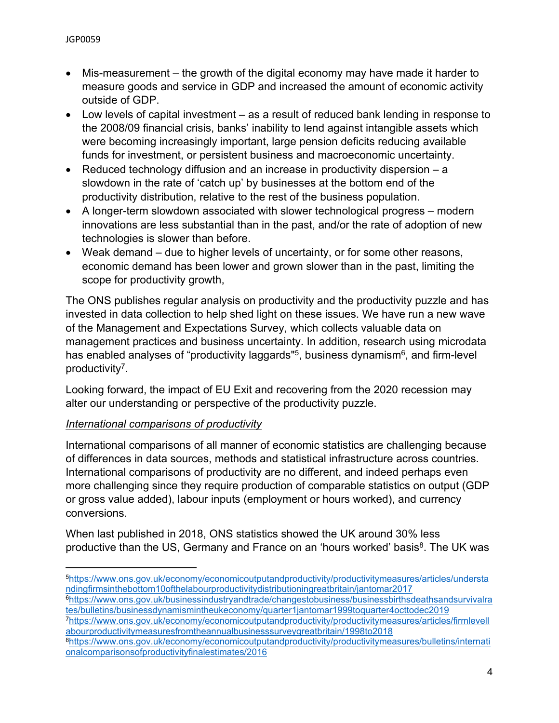- Mis-measurement the growth of the digital economy may have made it harder to measure goods and service in GDP and increased the amount of economic activity outside of GDP.
- Low levels of capital investment as a result of reduced bank lending in response to the 2008/09 financial crisis, banks' inability to lend against intangible assets which were becoming increasingly important, large pension deficits reducing available funds for investment, or persistent business and macroeconomic uncertainty.
- Reduced technology diffusion and an increase in productivity dispersion  $-a$ slowdown in the rate of 'catch up' by businesses at the bottom end of the productivity distribution, relative to the rest of the business population.
- A longer-term slowdown associated with slower technological progress modern innovations are less substantial than in the past, and/or the rate of adoption of new technologies is slower than before.
- Weak demand due to higher levels of uncertainty, or for some other reasons, economic demand has been lower and grown slower than in the past, limiting the scope for productivity growth,

The ONS publishes regular analysis on productivity and the productivity puzzle and has invested in data collection to help shed light on these issues. We have run a new wave of the Management and Expectations Survey, which collects valuable data on management practices and business uncertainty. In addition, research using microdata has enabled analyses of "productivity laggards"<sup>5</sup>, business dynamism<sup>6</sup>, and firm-level productivity<sup>7</sup>.

Looking forward, the impact of EU Exit and recovering from the 2020 recession may alter our understanding or perspective of the productivity puzzle.

# *International comparisons of productivity*

International comparisons of all manner of economic statistics are challenging because of differences in data sources, methods and statistical infrastructure across countries. International comparisons of productivity are no different, and indeed perhaps even more challenging since they require production of comparable statistics on output (GDP or gross value added), labour inputs (employment or hours worked), and currency conversions.

When last published in 2018, ONS statistics showed the UK around 30% less productive than the US, Germany and France on an 'hours worked' basis<sup>8</sup>. The UK was

<sup>5</sup>[https://www.ons.gov.uk/economy/economicoutputandproductivity/productivitymeasures/articles/understa](https://www.ons.gov.uk/economy/economicoutputandproductivity/productivitymeasures/articles/understandingfirmsinthebottom10ofthelabourproductivitydistributioningreatbritain/jantomar2017) [ndingfirmsinthebottom10ofthelabourproductivitydistributioningreatbritain/jantomar2017](https://www.ons.gov.uk/economy/economicoutputandproductivity/productivitymeasures/articles/understandingfirmsinthebottom10ofthelabourproductivitydistributioningreatbritain/jantomar2017)

<sup>6</sup>[https://www.ons.gov.uk/businessindustryandtrade/changestobusiness/businessbirthsdeathsandsurvivalra](https://www.ons.gov.uk/businessindustryandtrade/changestobusiness/businessbirthsdeathsandsurvivalrates/bulletins/businessdynamismintheukeconomy/quarter1jantomar1999toquarter4octtodec2019) [tes/bulletins/businessdynamismintheukeconomy/quarter1jantomar1999toquarter4octtodec2019](https://www.ons.gov.uk/businessindustryandtrade/changestobusiness/businessbirthsdeathsandsurvivalrates/bulletins/businessdynamismintheukeconomy/quarter1jantomar1999toquarter4octtodec2019)

<sup>7</sup>[https://www.ons.gov.uk/economy/economicoutputandproductivity/productivitymeasures/articles/firmlevell](https://www.ons.gov.uk/economy/economicoutputandproductivity/productivitymeasures/articles/firmlevellabourproductivitymeasuresfromtheannualbusinesssurveygreatbritain/1998to2018) [abourproductivitymeasuresfromtheannualbusinesssurveygreatbritain/1998to2018](https://www.ons.gov.uk/economy/economicoutputandproductivity/productivitymeasures/articles/firmlevellabourproductivitymeasuresfromtheannualbusinesssurveygreatbritain/1998to2018)

<sup>8</sup>[https://www.ons.gov.uk/economy/economicoutputandproductivity/productivitymeasures/bulletins/internati](https://www.ons.gov.uk/economy/economicoutputandproductivity/productivitymeasures/bulletins/internationalcomparisonsofproductivityfinalestimates/2016) [onalcomparisonsofproductivityfinalestimates/2016](https://www.ons.gov.uk/economy/economicoutputandproductivity/productivitymeasures/bulletins/internationalcomparisonsofproductivityfinalestimates/2016)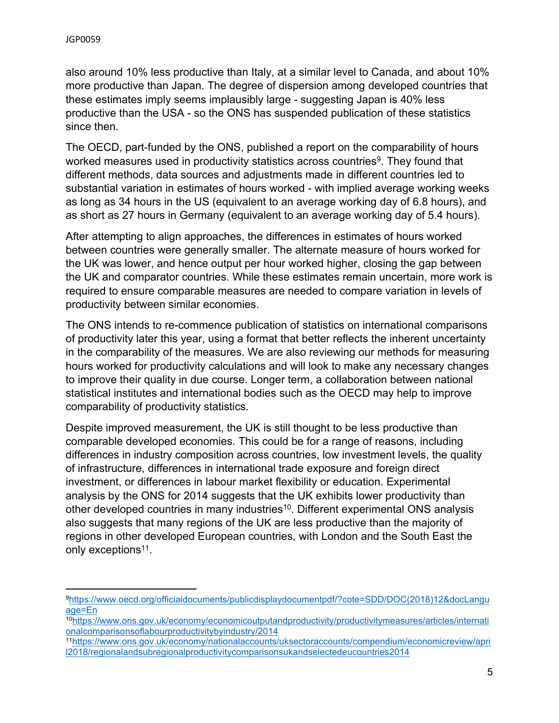also around 10% less productive than Italy, at a similar level to Canada, and about 10% more productive than Japan. The degree of dispersion among developed countries that these estimates imply seems implausibly large - suggesting Japan is 40% less productive than the USA - so the ONS has suspended publication of these statistics since then.

The OECD, part-funded by the ONS, published a report on the comparability of hours worked measures used in productivity statistics across countries<sup>9</sup>. They found that different methods, data sources and adjustments made in different countries led to substantial variation in estimates of hours worked - with implied average working weeks as long as 34 hours in the US (equivalent to an average working day of 6.8 hours), and as short as 27 hours in Germany (equivalent to an average working day of 5.4 hours).

After attempting to align approaches, the differences in estimates of hours worked between countries were generally smaller. The alternate measure of hours worked for the UK was lower, and hence output per hour worked higher, closing the gap between the UK and comparator countries. While these estimates remain uncertain, more work is required to ensure comparable measures are needed to compare variation in levels of productivity between similar economies.

The ONS intends to re-commence publication of statistics on international comparisons of productivity later this year, using a format that better reflects the inherent uncertainty in the comparability of the measures. We are also reviewing our methods for measuring hours worked for productivity calculations and will look to make any necessary changes to improve their quality in due course. Longer term, a collaboration between national statistical institutes and international bodies such as the OECD may help to improve comparability of productivity statistics.

Despite improved measurement, the UK is still thought to be less productive than comparable developed economies. This could be for a range of reasons, including differences in industry composition across countries, low investment levels, the quality of infrastructure, differences in international trade exposure and foreign direct investment, or differences in labour market flexibility or education. Experimental analysis by the ONS for 2014 suggests that the UK exhibits lower productivity than other developed countries in many industries<sup>10</sup>. Different experimental ONS analysis also suggests that many regions of the UK are less productive than the majority of regions in other developed European countries, with London and the South East the only exceptions<sup>11</sup>.

<sup>11</sup>[https://www.ons.gov.uk/economy/nationalaccounts/uksectoraccounts/compendium/economicreview/apri](https://www.ons.gov.uk/economy/nationalaccounts/uksectoraccounts/compendium/economicreview/april2018/regionalandsubregionalproductivitycomparisonsukandselectedeucountries2014) [l2018/regionalandsubregionalproductivitycomparisonsukandselectedeucountries2014](https://www.ons.gov.uk/economy/nationalaccounts/uksectoraccounts/compendium/economicreview/april2018/regionalandsubregionalproductivitycomparisonsukandselectedeucountries2014)

<sup>9</sup>[https://www.oecd.org/officialdocuments/publicdisplaydocumentpdf/?cote=SDD/DOC\(2018\)12&docLangu](https://www.oecd.org/officialdocuments/publicdisplaydocumentpdf/?cote=SDD/DOC(2018)12&docLanguage=En) [age=En](https://www.oecd.org/officialdocuments/publicdisplaydocumentpdf/?cote=SDD/DOC(2018)12&docLanguage=En)

<sup>10</sup>[https://www.ons.gov.uk/economy/economicoutputandproductivity/productivitymeasures/articles/internati](https://www.ons.gov.uk/economy/economicoutputandproductivity/productivitymeasures/articles/internationalcomparisonsoflabourproductivitybyindustry/2014) [onalcomparisonsoflabourproductivitybyindustry/2014](https://www.ons.gov.uk/economy/economicoutputandproductivity/productivitymeasures/articles/internationalcomparisonsoflabourproductivitybyindustry/2014)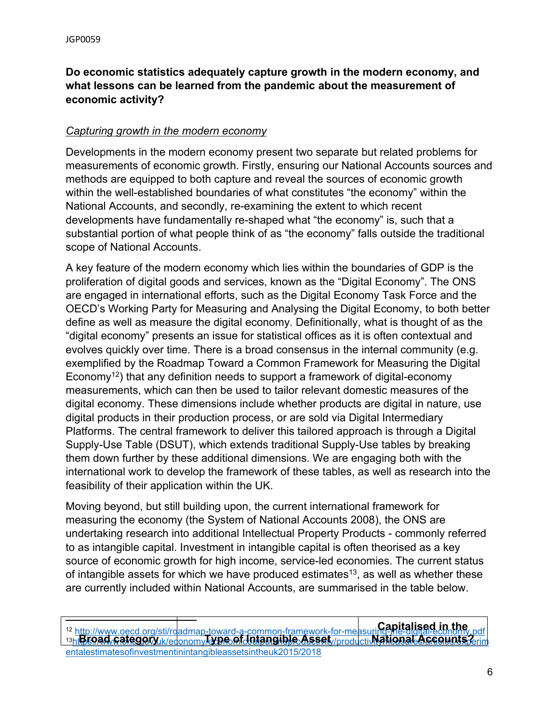### **Do economic statistics adequately capture growth in the modern economy, and what lessons can be learned from the pandemic about the measurement of economic activity?**

### *Capturing growth in the modern economy*

Developments in the modern economy present two separate but related problems for measurements of economic growth. Firstly, ensuring our National Accounts sources and methods are equipped to both capture and reveal the sources of economic growth within the well-established boundaries of what constitutes "the economy" within the National Accounts, and secondly, re-examining the extent to which recent developments have fundamentally re-shaped what "the economy" is, such that a substantial portion of what people think of as "the economy" falls outside the traditional scope of National Accounts.

A key feature of the modern economy which lies within the boundaries of GDP is the proliferation of digital goods and services, known as the "Digital Economy". The ONS are engaged in international efforts, such as the Digital Economy Task Force and the OECD's Working Party for Measuring and Analysing the Digital Economy, to both better define as well as measure the digital economy. Definitionally, what is thought of as the "digital economy" presents an issue for statistical offices as it is often contextual and evolves quickly over time. There is a broad consensus in the internal community (e.g. exemplified by the Roadmap Toward a Common Framework for Measuring the Digital Economy<sup>12</sup>) that any definition needs to support a framework of digital-economy measurements, which can then be used to tailor relevant domestic measures of the digital economy. These dimensions include whether products are digital in nature, use digital products in their production process, or are sold via Digital Intermediary Platforms. The central framework to deliver this tailored approach is through a Digital Supply-Use Table (DSUT), which extends traditional Supply-Use tables by breaking them down further by these additional dimensions. We are engaging both with the international work to develop the framework of these tables, as well as research into the feasibility of their application within the UK.

Moving beyond, but still building upon, the current international framework for measuring the economy (the System of National Accounts 2008), the ONS are undertaking research into additional Intellectual Property Products - commonly referred to as intangible capital. Investment in intangible capital is often theorised as a key source of economic growth for high income, service-led economies. The current status of intangible assets for which we have produced estimates<sup>13</sup>, as well as whether these are currently included within National Accounts, are summarised in the table below.

<sup>&</sup>lt;sup>12</sup> http://www.oecd.org/sti/roadmap-toward-a-common-framework-for-measuri**ng-the-digital-economy.pdf** 13htBroad category kk/edonomy **YPe of Intangible Asset** //productivitational Accounts? [entalestimatesofinvestmentinintangibleassetsintheuk2015/2018](https://www.ons.gov.uk/economy/economicoutputandproductivity/productivitymeasures/articles/experimentalestimatesofinvestmentinintangibleassetsintheuk2015/2018) **Capitalised in the**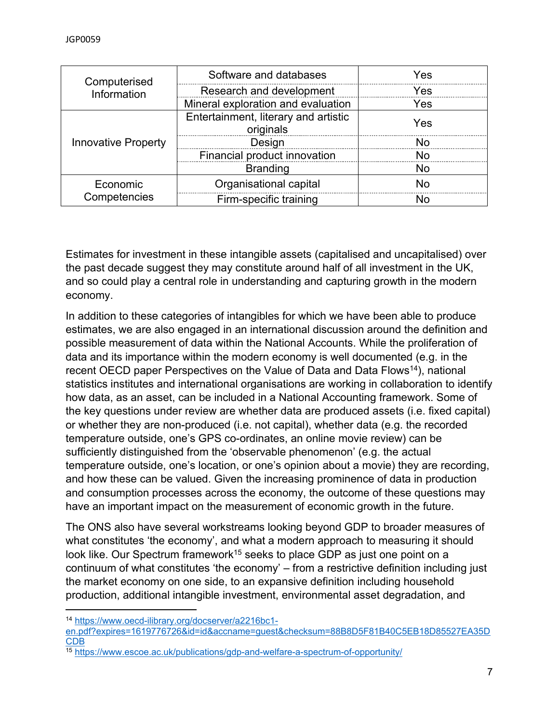| Computerised<br>Information | Software and databases                            | Yes |
|-----------------------------|---------------------------------------------------|-----|
|                             | Research and development                          | Yes |
|                             | Mineral exploration and evaluation                | Yes |
| <b>Innovative Property</b>  | Entertainment, literary and artistic<br>originals | Yes |
|                             | Design                                            |     |
|                             | Financial product innovation                      |     |
|                             | <b>Branding</b>                                   | N٥  |
| Economic<br>Competencies    | Organisational capital                            | Nn  |
|                             | Firm-specific training                            |     |

Estimates for investment in these intangible assets (capitalised and uncapitalised) over the past decade suggest they may constitute around half of all investment in the UK, and so could play a central role in understanding and capturing growth in the modern economy.

In addition to these categories of intangibles for which we have been able to produce estimates, we are also engaged in an international discussion around the definition and possible measurement of data within the National Accounts. While the proliferation of data and its importance within the modern economy is well documented (e.g. in the recent OECD paper Perspectives on the Value of Data and Data Flows<sup>14</sup>), national statistics institutes and international organisations are working in collaboration to identify how data, as an asset, can be included in a National Accounting framework. Some of the key questions under review are whether data are produced assets (i.e. fixed capital) or whether they are non-produced (i.e. not capital), whether data (e.g. the recorded temperature outside, one's GPS co-ordinates, an online movie review) can be sufficiently distinguished from the 'observable phenomenon' (e.g. the actual temperature outside, one's location, or one's opinion about a movie) they are recording, and how these can be valued. Given the increasing prominence of data in production and consumption processes across the economy, the outcome of these questions may have an important impact on the measurement of economic growth in the future.

The ONS also have several workstreams looking beyond GDP to broader measures of what constitutes 'the economy', and what a modern approach to measuring it should look like. Our Spectrum framework<sup>15</sup> seeks to place GDP as just one point on a continuum of what constitutes 'the economy' – from a restrictive definition including just the market economy on one side, to an expansive definition including household production, additional intangible investment, environmental asset degradation, and

<sup>14</sup> [https://www.oecd-ilibrary.org/docserver/a2216bc1-](https://www.oecd-ilibrary.org/docserver/a2216bc1-en.pdf?expires=1619776726&id=id&accname=guest&checksum=88B8D5F81B40C5EB18D85527EA35DCDB)

[en.pdf?expires=1619776726&id=id&accname=guest&checksum=88B8D5F81B40C5EB18D85527EA35D](https://www.oecd-ilibrary.org/docserver/a2216bc1-en.pdf?expires=1619776726&id=id&accname=guest&checksum=88B8D5F81B40C5EB18D85527EA35DCDB) [CDB](https://www.oecd-ilibrary.org/docserver/a2216bc1-en.pdf?expires=1619776726&id=id&accname=guest&checksum=88B8D5F81B40C5EB18D85527EA35DCDB)

<sup>15</sup> <https://www.escoe.ac.uk/publications/gdp-and-welfare-a-spectrum-of-opportunity/>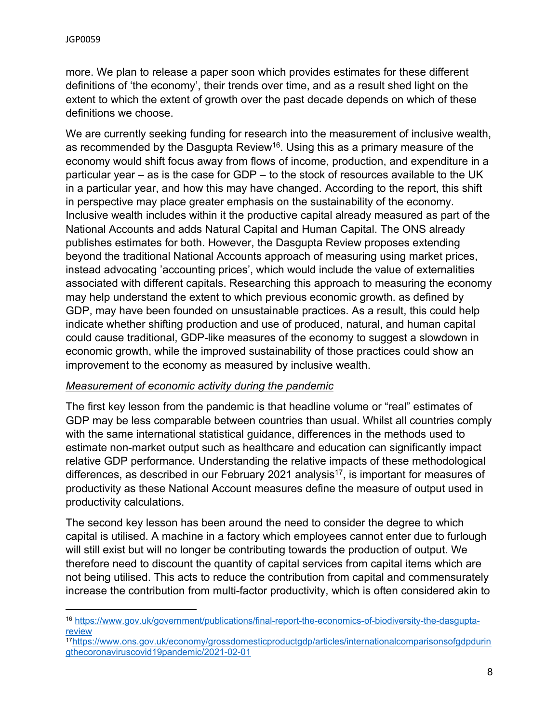more. We plan to release a paper soon which provides estimates for these different definitions of 'the economy', their trends over time, and as a result shed light on the extent to which the extent of growth over the past decade depends on which of these definitions we choose.

We are currently seeking funding for research into the measurement of inclusive wealth, as recommended by the Dasgupta Review<sup>16</sup>. Using this as a primary measure of the economy would shift focus away from flows of income, production, and expenditure in a particular year – as is the case for GDP – to the stock of resources available to the UK in a particular year, and how this may have changed. According to the report, this shift in perspective may place greater emphasis on the sustainability of the economy. Inclusive wealth includes within it the productive capital already measured as part of the National Accounts and adds Natural Capital and Human Capital. The ONS already publishes estimates for both. However, the Dasgupta Review proposes extending beyond the traditional National Accounts approach of measuring using market prices, instead advocating 'accounting prices', which would include the value of externalities associated with different capitals. Researching this approach to measuring the economy may help understand the extent to which previous economic growth. as defined by GDP, may have been founded on unsustainable practices. As a result, this could help indicate whether shifting production and use of produced, natural, and human capital could cause traditional, GDP-like measures of the economy to suggest a slowdown in economic growth, while the improved sustainability of those practices could show an improvement to the economy as measured by inclusive wealth.

#### *Measurement of economic activity during the pandemic*

The first key lesson from the pandemic is that headline volume or "real" estimates of GDP may be less comparable between countries than usual. Whilst all countries comply with the same international statistical guidance, differences in the methods used to estimate non-market output such as healthcare and education can significantly impact relative GDP performance. Understanding the relative impacts of these methodological differences, as described in our February 2021 analysis<sup>17</sup>, is important for measures of productivity as these National Account measures define the measure of output used in productivity calculations.

The second key lesson has been around the need to consider the degree to which capital is utilised. A machine in a factory which employees cannot enter due to furlough will still exist but will no longer be contributing towards the production of output. We therefore need to discount the quantity of capital services from capital items which are not being utilised. This acts to reduce the contribution from capital and commensurately increase the contribution from multi-factor productivity, which is often considered akin to

<sup>16</sup> [https://www.gov.uk/government/publications/final-report-the-economics-of-biodiversity-the-dasgupta](https://www.gov.uk/government/publications/final-report-the-economics-of-biodiversity-the-dasgupta-review)[review](https://www.gov.uk/government/publications/final-report-the-economics-of-biodiversity-the-dasgupta-review)

<sup>17</sup>[https://www.ons.gov.uk/economy/grossdomesticproductgdp/articles/internationalcomparisonsofgdpdurin](https://www.ons.gov.uk/economy/grossdomesticproductgdp/articles/internationalcomparisonsofgdpduringthecoronaviruscovid19pandemic/2021-02-01) [gthecoronaviruscovid19pandemic/2021-02-01](https://www.ons.gov.uk/economy/grossdomesticproductgdp/articles/internationalcomparisonsofgdpduringthecoronaviruscovid19pandemic/2021-02-01)